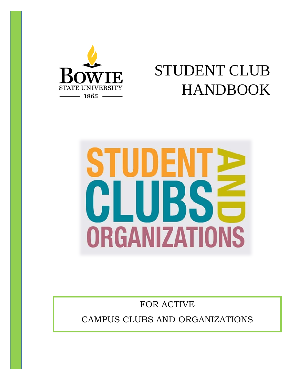

# STUDENT CLUB HANDBOOK



FOR ACTIVE CAMPUS CLUBS AND ORGANIZATIONS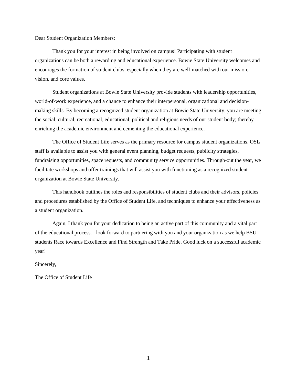Dear Student Organization Members:

Thank you for your interest in being involved on campus! Participating with student organizations can be both a rewarding and educational experience. Bowie State University welcomes and encourages the formation of student clubs, especially when they are well-matched with our mission, vision, and core values.

Student organizations at Bowie State University provide students with leadership opportunities, world-of-work experience, and a chance to enhance their interpersonal, organizational and decisionmaking skills. By becoming a recognized student organization at Bowie State University, you are meeting the social, cultural, recreational, educational, political and religious needs of our student body; thereby enriching the academic environment and cementing the educational experience.

The Office of Student Life serves as the primary resource for campus student organizations. OSL staff is available to assist you with general event planning, budget requests, publicity strategies, fundraising opportunities, space requests, and community service opportunities. Through-out the year, we facilitate workshops and offer trainings that will assist you with functioning as a recognized student organization at Bowie State University.

This handbook outlines the roles and responsibilities of student clubs and their advisors, policies and procedures established by the Office of Student Life, and techniques to enhance your effectiveness as a student organization.

Again, I thank you for your dedication to being an active part of this community and a vital part of the educational process. I look forward to partnering with you and your organization as we help BSU students Race towards Excellence and Find Strength and Take Pride. Good luck on a successful academic year!

Sincerely,

The Office of Student Life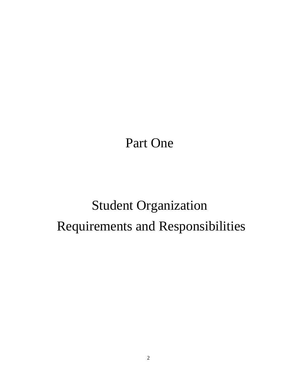Part One

# Student Organization Requirements and Responsibilities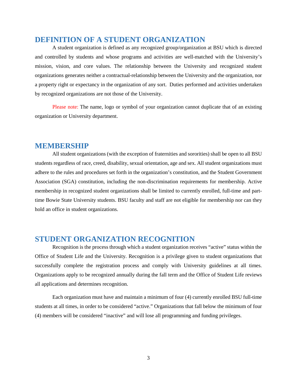### **DEFINITION OF A STUDENT ORGANIZATION**

A student organization is defined as any recognized group/organization at BSU which is directed and controlled by students and whose programs and activities are well-matched with the University's mission, vision, and core values. The relationship between the University and recognized student organizations generates neither a contractual-relationship between the University and the organization, nor a property right or expectancy in the organization of any sort. Duties performed and activities undertaken by recognized organizations are not those of the University.

Please note: The name, logo or symbol of your organization cannot duplicate that of an existing organization or University department.

#### **MEMBERSHIP**

All student organizations (with the exception of fraternities and sororities) shall be open to all BSU students regardless of race, creed, disability, sexual orientation, age and sex. All student organizations must adhere to the rules and procedures set forth in the organization's constitution, and the Student Government Association (SGA) constitution, including the non-discrimination requirements for membership. Active membership in recognized student organizations shall be limited to currently enrolled, full-time and parttime Bowie State University students. BSU faculty and staff are not eligible for membership nor can they hold an office in student organizations.

#### **STUDENT ORGANIZATION RECOGNITION**

Recognition is the process through which a student organization receives "active" status within the Office of Student Life and the University. Recognition is a privilege given to student organizations that successfully complete the registration process and comply with University guidelines at all times. Organizations apply to be recognized annually during the fall term and the Office of Student Life reviews all applications and determines recognition.

Each organization must have and maintain a minimum of four (4) currently enrolled BSU full-time students at all times, in order to be considered "active." Organizations that fall below the minimum of four (4) members will be considered "inactive" and will lose all programming and funding privileges.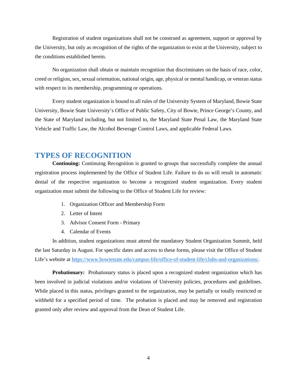Registration of student organizations shall not be construed as agreement, support or approval by the University, but only as recognition of the rights of the organization to exist at the University, subject to the conditions established herein.

No organization shall obtain or maintain recognition that discriminates on the basis of race, color, creed or religion, sex, sexual orientation, national origin, age, physical or mental handicap, or veteran status with respect to its membership, programming or operations.

Every student organization is bound to all rules of the University System of Maryland, Bowie State University, Bowie State University's Office of Public Safety, City of Bowie, Prince George's County, and the State of Maryland including, but not limited to, the Maryland State Penal Law, the Maryland State Vehicle and Traffic Law, the Alcohol Beverage Control Laws, and applicable Federal Laws.

#### **TYPES OF RECOGNITION**

**Continuing:** Continuing Recognition is granted to groups that successfully complete the annual registration process implemented by the Office of Student Life. Failure to do so will result in automatic denial of the respective organization to become a recognized student organization. Every student organization must submit the following to the Office of Student Life for review:

- 1. Organization Officer and Membership Form
- 2. Letter of Intent
- 3. Advisor Consent Form Primary
- 4. Calendar of Events

In addition, student organizations must attend the mandatory Student Organization Summit, held the last Saturday in August. For specific dates and access to these forms, please visit the Office of Student Life's website at [https://www.bowiestate.edu/campus-life/office-of-student-life/clubs-and-organizations/.](https://www.bowiestate.edu/campus-life/office-of-student-life/clubs-and-organizations/)

**Probationary:** Probationary status is placed upon a recognized student organization which has been involved in judicial violations and/or violations of University policies, procedures and guidelines. While placed in this status, privileges granted to the organization, may be partially or totally restricted or withheld for a specified period of time. The probation is placed and may be removed and registration granted only after review and approval from the Dean of Student Life.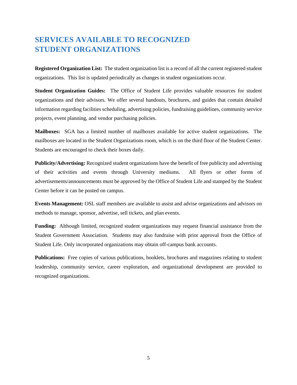## **SERVICES AVAILABLE TO RECOGNIZED STUDENT ORGANIZATIONS**

**Registered Organization List:** The student organization list is a record of all the current registered student organizations. This list is updated periodically as changes in student organizations occur.

**Student Organization Guides:** The Office of Student Life provides valuable resources for student organizations and their advisors. We offer several handouts, brochures, and guides that contain detailed information regarding facilities scheduling, advertising policies, fundraising guidelines, community service projects, event planning, and vendor purchasing policies.

**Mailboxes:** SGA has a limited number of mailboxes available for active student organizations. The mailboxes are located in the Student Organizations room, which is on the third floor of the Student Center. Students are encouraged to check their boxes daily.

**Publicity/Advertising:** Recognized student organizations have the benefit of free publicity and advertising of their activities and events through University mediums. All flyers or other forms of advertisements/announcements must be approved by the Office of Student Life and stamped by the Student Center before it can be posted on campus.

**Events Management:** OSL staff members are available to assist and advise organizations and advisors on methods to manage, sponsor, advertise, sell tickets, and plan events.

**Funding:** Although limited, recognized student organizations may request financial assistance from the Student Government Association. Students may also fundraise with prior approval from the Office of Student Life. Only incorporated organizations may obtain off-campus bank accounts.

**Publications:** Free copies of various publications, booklets, brochures and magazines relating to student leadership, community service, career exploration, and organizational development are provided to recognized organizations.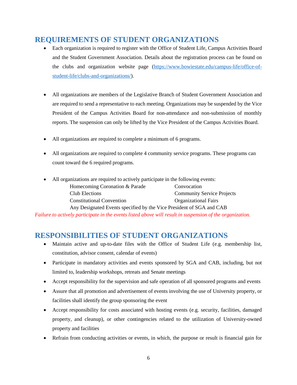## **REQUIREMENTS OF STUDENT ORGANIZATIONS**

- Each organization is required to register with the Office of Student Life, Campus Activities Board and the Student Government Association. Details about the registration process can be found on the clubs and organization website page [\(https://www.bowiestate.edu/campus-life/office-of](https://www.bowiestate.edu/campus-life/office-of-student-life/clubs-and-organizations/)[student-life/clubs-and-organizations/\)](https://www.bowiestate.edu/campus-life/office-of-student-life/clubs-and-organizations/).
- All organizations are members of the Legislative Branch of Student Government Association and are required to send a representative to each meeting. Organizations may be suspended by the Vice President of the Campus Activities Board for non-attendance and non-submission of monthly reports. The suspension can only be lifted by the Vice President of the Campus Activities Board.
- All organizations are required to complete a minimum of 6 programs.
- All organizations are required to complete 4 community service programs. These programs can count toward the 6 required programs.

| • All organizations are required to actively participate in the following events: |                                   |
|-----------------------------------------------------------------------------------|-----------------------------------|
| Homecoming Coronation & Parade                                                    | Convocation                       |
| Club Elections                                                                    | <b>Community Service Projects</b> |
| <b>Constitutional Convention</b>                                                  | <b>Organizational Fairs</b>       |
| Any Designated Events specified by the Vice President of SGA and CAB              |                                   |

*Failure to actively participate in the events listed above will result in suspension of the organization.*

## **RESPONSIBILITIES OF STUDENT ORGANIZATIONS**

- Maintain active and up-to-date files with the Office of Student Life (e.g. membership list, constitution, advisor consent, calendar of events)
- Participate in mandatory activities and events sponsored by SGA and CAB, including, but not limited to, leadership workshops, retreats and Senate meetings
- Accept responsibility for the supervision and safe operation of all sponsored programs and events
- Assure that all promotion and advertisement of events involving the use of University property, or facilities shall identify the group sponsoring the event
- Accept responsibility for costs associated with hosting events (e.g. security, facilities, damaged property, and cleanup), or other contingencies related to the utilization of University-owned property and facilities
- Refrain from conducting activities or events, in which, the purpose or result is financial gain for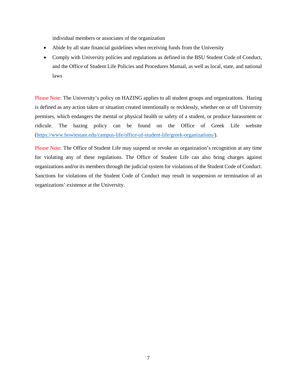individual members or associates of the organization

- Abide by all state financial guidelines when receiving funds from the University
- Comply with University policies and regulations as defined in the BSU Student Code of Conduct, and the Office of Student Life Policies and Procedures Manual, as well as local, state, and national laws

Please Note: The University's policy on HAZING applies to all student groups and organizations. Hazing is defined as any action taken or situation created intentionally or recklessly, whether on or off University premises, which endangers the mental or physical health or safety of a student, or produce harassment or ridicule. The hazing policy can be found on the Office of Greek Life website [\(https://www.bowiestate.edu/campus-life/office-of-student-life/greek-organizations/\)](https://www.bowiestate.edu/campus-life/office-of-student-life/greek-organizations/).

Please Note: The Office of Student Life may suspend or revoke an organization's recognition at any time for violating any of these regulations. The Office of Student Life can also bring charges against organizations and/or its members through the judicial system for violations of the Student Code of Conduct. Sanctions for violations of the Student Code of Conduct may result in suspension or termination of an organizations' existence at the University.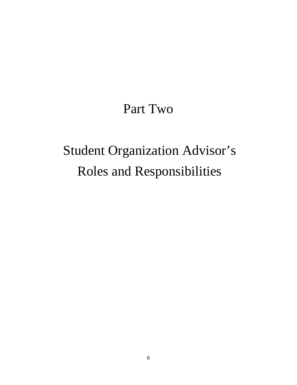## Part Two

# Student Organization Advisor's Roles and Responsibilities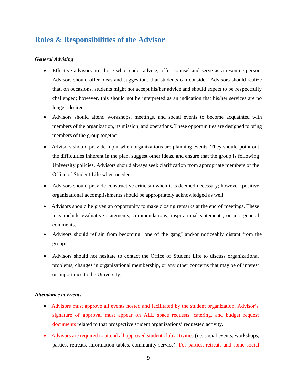## **Roles & Responsibilities of the Advisor**

#### *General Advising*

- Effective advisors are those who render advice, offer counsel and serve as a resource person. Advisors should offer ideas and suggestions that students can consider. Advisors should realize that, on occasions, students might not accept his/her advice and should expect to be respectfully challenged; however, this should not be interpreted as an indication that his/her services are no longer desired.
- Advisors should attend workshops, meetings, and social events to become acquainted with members of the organization, its mission, and operations. These opportunities are designed to bring members of the group together.
- Advisors should provide input when organizations are planning events. They should point out the difficulties inherent in the plan, suggest other ideas, and ensure that the group is following University policies. Advisors should always seek clarification from appropriate members of the Office of Student Life when needed.
- Advisors should provide constructive criticism when it is deemed necessary; however, positive organizational accomplishments should be appropriately acknowledged as well.
- Advisors should be given an opportunity to make closing remarks at the end of meetings. These may include evaluative statements, commendations, inspirational statements, or just general comments.
- Advisors should refrain from becoming "one of the gang" and/or noticeably distant from the group.
- Advisors should not hesitate to contact the Office of Student Life to discuss organizational problems, changes in organizational membership, or any other concerns that may be of interest or importance to the University.

#### *Attendance at Events*

- Advisors must approve all events hosted and facilitated by the student organization. Advisor's signature of approval must appear on ALL space requests, catering, and budget request documents related to that prospective student organizations' requested activity.
- Advisors are required to attend all approved student club activities (i.e. social events, workshops, parties, retreats, information tables, community service). For parties, retreats and some social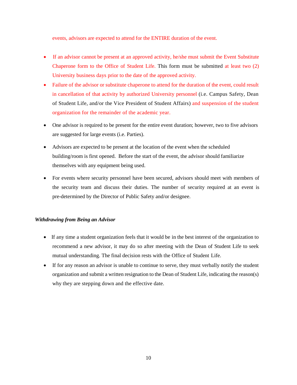events, advisors are expected to attend for the ENTIRE duration of the event.

- If an advisor cannot be present at an approved activity, he/she must submit the Event Substitute Chaperone form to the Office of Student Life. This form must be submitted at least two (2) University business days prior to the date of the approved activity.
- Failure of the advisor or substitute chaperone to attend for the duration of the event, could result in cancellation of that activity by authorized University personnel (i.e. Campus Safety, Dean of Student Life, and/or the Vice President of Student Affairs) and suspension of the student organization for the remainder of the academic year.
- One advisor is required to be present for the entire event duration; however, two to five advisors are suggested for large events (i.e. Parties).
- Advisors are expected to be present at the location of the event when the scheduled building/room is first opened. Before the start of the event, the advisor should familiarize themselves with any equipment being used.
- For events where security personnel have been secured, advisors should meet with members of the security team and discuss their duties. The number of security required at an event is pre-determined by the Director of Public Safety and/or designee.

#### *Withdrawing from Being an Advisor*

- If any time a student organization feels that it would be in the best interest of the organization to recommend a new advisor, it may do so after meeting with the Dean of Student Life to seek mutual understanding. The final decision rests with the Office of Student Life.
- If for any reason an advisor is unable to continue to serve, they must verbally notify the student organization and submit a written resignation to the Dean of Student Life, indicating the reason(s) why they are stepping down and the effective date.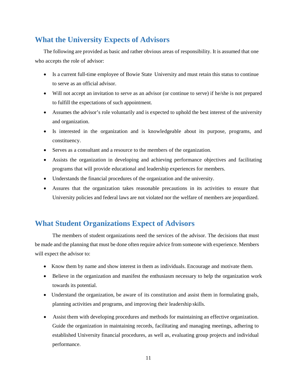## **What the University Expects of Advisors**

The following are provided as basic and rather obvious areas of responsibility. It is assumed that one who accepts the role of advisor:

- Is a current full-time employee of Bowie State University and must retain this status to continue to serve as an official advisor.
- Will not accept an invitation to serve as an advisor (or continue to serve) if he/she is not prepared to fulfill the expectations of such appointment.
- Assumes the advisor's role voluntarily and is expected to uphold the best interest of the university and organization.
- Is interested in the organization and is knowledgeable about its purpose, programs, and constituency.
- Serves as a consultant and a resource to the members of the organization.
- Assists the organization in developing and achieving performance objectives and facilitating programs that will provide educational and leadership experiences for members.
- Understands the financial procedures of the organization and the university.
- Assures that the organization takes reasonable precautions in its activities to ensure that University policies and federal laws are not violated nor the welfare of members are jeopardized.

## **What Student Organizations Expect of Advisors**

The members of student organizations need the services of the advisor. The decisions that must be made and the planning that must be done often require advice from someone with experience. Members will expect the advisor to:

- Know them by name and show interest in them as individuals. Encourage and motivate them.
- Believe in the organization and manifest the enthusiasm necessary to help the organization work towards its potential.
- Understand the organization, be aware of its constitution and assist them in formulating goals, planning activities and programs, and improving their leadership skills.
- Assist them with developing procedures and methods for maintaining an effective organization. Guide the organization in maintaining records, facilitating and managing meetings, adhering to established University financial procedures, as well as, evaluating group projects and individual performance.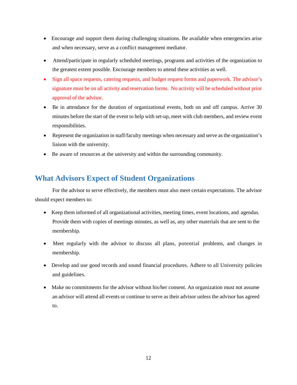- Encourage and support them during challenging situations. Be available when emergencies arise and when necessary, serve as a conflict management mediator.
- Attend/participate in regularly scheduled meetings, programs and activities of the organization to the greatest extent possible. Encourage members to attend these activities as well.
- Sign all space requests, catering requests, and budget request forms and paperwork. The advisor's signature must be on all activity and reservation forms. No activity will be scheduled without prior approval of the advisor.
- Be in attendance for the duration of organizational events, both on and off campus. Arrive 30 minutes before the start of the event to help with set-up, meet with club members, and review event responsibilities.
- Represent the organization in staff/faculty meetings when necessary and serve as the organization's liaison with the university.
- Be aware of resources at the university and within the surrounding community.

## **What Advisors Expect of Student Organizations**

For the advisor to serve effectively, the members must also meet certain expectations. The advisor should expect members to:

- Keep them informed of all organizational activities, meeting times, event locations, and agendas. Provide them with copies of meetings minutes, as well as, any other materials that are sent to the membership.
- Meet regularly with the advisor to discuss all plans, potential problems, and changes in membership.
- Develop and use good records and sound financial procedures. Adhere to all University policies and guidelines.
- Make no commitments for the advisor without his/her consent. An organization must not assume an advisor will attend all events or continue to serve as their advisor unless the advisor has agreed to.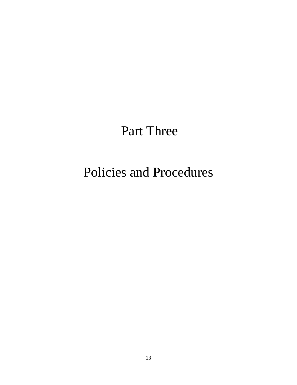## Part Three

## Policies and Procedures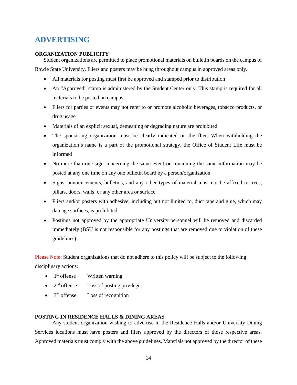## **ADVERTISING**

#### **ORGANIZATION PUBLICITY**

Student organizations are permitted to place promotional materials on bulletin boards on the campus of Bowie State University. Fliers and posters may be hung throughout campus in approved areas only.

- All materials for posting must first be approved and stamped prior to distribution
- An "Approved" stamp is administered by the Student Center only. This stamp is required for all materials to be posted on campus
- Fliers for parties or events may not refer to or promote alcoholic beverages, tobacco products, or drug usage
- Materials of an explicit sexual, demeaning or degrading nature are prohibited
- The sponsoring organization must be clearly indicated on the flier. When withholding the organization's name is a part of the promotional strategy, the Office of Student Life must be informed
- No more than one sign concerning the same event or containing the same information may be posted at any one time on any one bulletin board by a person/organization
- Signs, announcements, bulletins, and any other types of material must not be affixed to trees, pillars, doors, walls, or any other area or surface.
- Fliers and/or posters with adhesive, including but not limited to, duct tape and glue, which may damage surfaces, is prohibited
- Postings not approved by the appropriate University personnel will be removed and discarded immediately (BSU is not responsible for any postings that are removed due to violation of these guidelines)

Please Note: Student organizations that do not adhere to this policy will be subject to the following disciplinary actions:

- $\bullet$  1<sup>st</sup> offense Written warning
- $\bullet$  2<sup>nd</sup> offense Loss of posting privileges
- $\bullet$  3<sup>rd</sup> offense Loss of recognition

#### **POSTING IN RESIDENCE HALLS & DINING AREAS**

Any student organization wishing to advertise in the Residence Halls and/or University Dining Services locations must have posters and fliers approved by the directors of those respective areas. Approved materials must comply with the above guidelines. Materials not approved by the director of these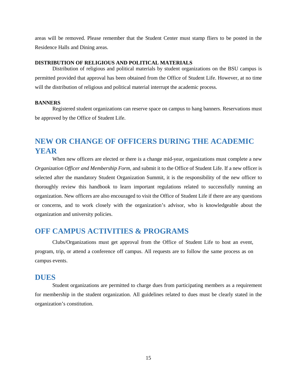areas will be removed. Please remember that the Student Center must stamp fliers to be posted in the Residence Halls and Dining areas.

#### **DISTRIBUTION OF RELIGIOUS AND POLITICAL MATERIALS**

Distribution of religious and political materials by student organizations on the BSU campus is permitted provided that approval has been obtained from the Office of Student Life. However, at no time will the distribution of religious and political material interrupt the academic process.

#### **BANNERS**

Registered student organizations can reserve space on campus to hang banners. Reservations must be approved by the Office of Student Life.

## **NEW OR CHANGE OF OFFICERS DURING THE ACADEMIC YEAR**

When new officers are elected or there is a change mid-year, organizations must complete a new *Organization Officer and Membership Form*, and submit it to the Office of Student Life. If a new officer is selected after the mandatory Student Organization Summit, it is the responsibility of the new officer to thoroughly review this handbook to learn important regulations related to successfully running an organization. New officers are also encouraged to visit the Office of Student Life if there are any questions or concerns, and to work closely with the organization's advisor, who is knowledgeable about the organization and university policies.

#### **OFF CAMPUS ACTIVITIES & PROGRAMS**

Clubs/Organizations must get approval from the Office of Student Life to host an event, program, trip, or attend a conference off campus. All requests are to follow the same process as on campus events.

#### **DUES**

Student organizations are permitted to charge dues from participating members as a requirement for membership in the student organization. All guidelines related to dues must be clearly stated in the organization's constitution.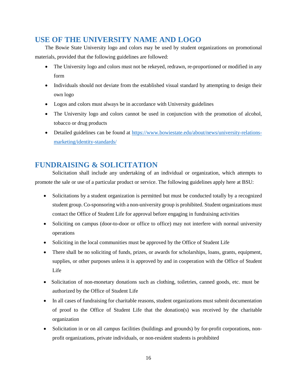## **USE OF THE UNIVERSITY NAME AND LOGO**

The Bowie State University logo and colors may be used by student organizations on promotional materials, provided that the following guidelines are followed:

- The University logo and colors must not be rekeyed, redrawn, re-proportioned or modified in any form
- Individuals should not deviate from the established visual standard by attempting to design their own logo
- Logos and colors must always be in accordance with University guidelines
- The University logo and colors cannot be used in conjunction with the promotion of alcohol, tobacco or drug products
- Detailed guidelines can be found at [https://www.bowiestate.edu/about/news/university-relations](https://www.bowiestate.edu/about/news/university-relations-marketing/identity-standards/)[marketing/identity-standards/](https://www.bowiestate.edu/about/news/university-relations-marketing/identity-standards/)

## **FUNDRAISING & SOLICITATION**

Solicitation shall include any undertaking of an individual or organization, which attempts to promote the sale or use of a particular product or service. The following guidelines apply here at BSU:

- Solicitations by a student organization is permitted but must be conducted totally by a recognized student group. Co-sponsoring with a non-university group is prohibited. Student organizations must contact the Office of Student Life for approval before engaging in fundraising activities
- Soliciting on campus (door-to-door or office to office) may not interfere with normal university operations
- Soliciting in the local communities must be approved by the Office of Student Life
- There shall be no soliciting of funds, prizes, or awards for scholarships, loans, grants, equipment, supplies, or other purposes unless it is approved by and in cooperation with the Office of Student Life
- Solicitation of non-monetary donations such as clothing, toiletries, canned goods, etc. must be authorized by the Office of Student Life
- In all cases of fundraising for charitable reasons, student organizations must submit documentation of proof to the Office of Student Life that the donation(s) was received by the charitable organization
- Solicitation in or on all campus facilities (buildings and grounds) by for-profit corporations, nonprofit organizations, private individuals, or non-resident students is prohibited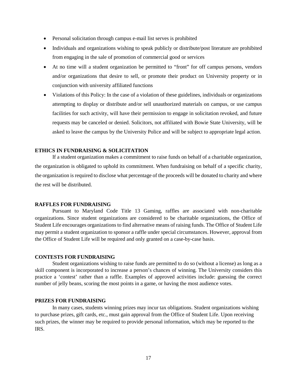- Personal solicitation through campus e-mail list serves is prohibited
- Individuals and organizations wishing to speak publicly or distribute/post literature are prohibited from engaging in the sale of promotion of commercial good or services
- At no time will a student organization be permitted to "front" for off campus persons, vendors and/or organizations that desire to sell, or promote their product on University property or in conjunction with university affiliated functions
- Violations of this Policy: In the case of a violation of these guidelines, individuals or organizations attempting to display or distribute and/or sell unauthorized materials on campus, or use campus facilities for such activity, will have their permission to engage in solicitation revoked, and future requests may be canceled or denied. Solicitors, not affiliated with Bowie State University, will be asked to leave the campus by the University Police and will be subject to appropriate legal action.

#### **ETHICS IN FUNDRAISING & SOLICITATION**

If a student organization makes a commitment to raise funds on behalf of a charitable organization, the organization is obligated to uphold its commitment. When fundraising on behalf of a specific charity, the organization is required to disclose what percentage of the proceeds will be donated to charity and where the rest will be distributed.

#### **RAFFLES FOR FUNDRAISING**

Pursuant to Maryland Code Title 13 Gaming, raffles are associated with non-charitable organizations. Since student organizations are considered to be charitable organizations, the Office of Student Life encourages organizations to find alternative means of raising funds. The Office of Student Life may permit a student organization to sponsor a raffle under special circumstances. However, approval from the Office of Student Life will be required and only granted on a case-by-case basis.

#### **CONTESTS FOR FUNDRAISING**

Student organizations wishing to raise funds are permitted to do so (without a license) as long as a skill component is incorporated to increase a person's chances of winning. The University considers this practice a 'contest' rather than a raffle. Examples of approved activities include: guessing the correct number of jelly beans, scoring the most points in a game, or having the most audience votes.

#### **PRIZES FOR FUNDRAISING**

In many cases, students winning prizes may incur tax obligations. Student organizations wishing to purchase prizes, gift cards, etc., must gain approval from the Office of Student Life. Upon receiving such prizes, the winner may be required to provide personal information, which may be reported to the IRS.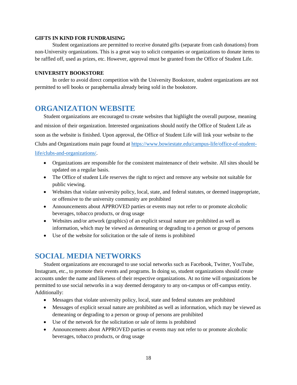#### **GIFTS IN KIND FOR FUNDRAISING**

Student organizations are permitted to receive donated gifts (separate from cash donations) from non-University organizations. This is a great way to solicit companies or organizations to donate items to be raffled off, used as prizes, etc. However, approval must be granted from the Office of Student Life.

#### **UNIVERSITY BOOKSTORE**

In order to avoid direct competition with the University Bookstore, student organizations are not permitted to sell books or paraphernalia already being sold in the bookstore.

#### **ORGANIZATION WEBSITE**

Student organizations are encouraged to create websites that highlight the overall purpose, meaning and mission of their organization. Interested organizations should notify the Office of Student Life as soon as the website is finished. Upon approval, the Office of Student Life will link your website to the Clubs and Organizations main page found at [https://www.bowiestate.edu/campus-life/office-of-student](https://www.bowiestate.edu/campus-life/office-of-student-life/clubs-and-organizations/)[life/clubs-and-organizations/.](https://www.bowiestate.edu/campus-life/office-of-student-life/clubs-and-organizations/)

- Organizations are responsible for the consistent maintenance of their website. All sites should be updated on a regular basis.
- The Office of student Life reserves the right to reject and remove any website not suitable for public viewing.
- Websites that violate university policy, local, state, and federal statutes, or deemed inappropriate, or offensive to the university community are prohibited
- Announcements about APPROVED parties or events may not refer to or promote alcoholic beverages, tobacco products, or drug usage
- Websites and/or artwork (graphics) of an explicit sexual nature are prohibited as well as information, which may be viewed as demeaning or degrading to a person or group of persons
- Use of the website for solicitation or the sale of items is prohibited

#### **SOCIAL MEDIA NETWORKS**

Student organizations are encouraged to use social networks such as Facebook, Twitter, YouTube, Instagram, etc., to promote their events and programs. In doing so, student organizations should create accounts under the name and likeness of their respective organizations. At no time will organizations be permitted to use social networks in a way deemed derogatory to any on-campus or off-campus entity. Additionally:

- Messages that violate university policy, local, state and federal statutes are prohibited
- Messages of explicit sexual nature are prohibited as well as information, which may be viewed as demeaning or degrading to a person or group of persons are prohibited
- Use of the network for the solicitation or sale of items is prohibited
- Announcements about APPROVED parties or events may not refer to or promote alcoholic beverages, tobacco products, or drug usage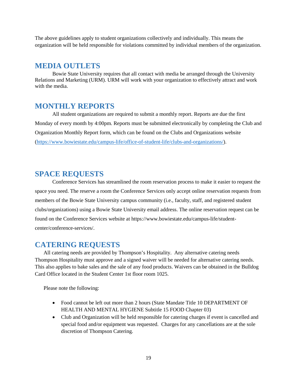The above guidelines apply to student organizations collectively and individually. This means the organization will be held responsible for violations committed by individual members of the organization.

#### **MEDIA OUTLETS**

Bowie State University requires that all contact with media be arranged through the University Relations and Marketing (URM). URM will work with your organization to effectively attract and work with the media.

#### **MONTHLY REPORTS**

All student organizations are required to submit a monthly report. Reports are due the first Monday of every month by 4:00pm. Reports must be submitted electronically by completing the Club and Organization Monthly Report form, which can be found on the Clubs and Organizations website [\(https://www.bowiestate.edu/campus-life/office-of-student-life/clubs-and-organizations/\)](https://www.bowiestate.edu/campus-life/office-of-student-life/clubs-and-organizations/).

### **SPACE REQUESTS**

Conference Services has streamlined the room reservation process to make it easier to request the space you need. The reserve a room the Conference Services only accept online reservation requests from members of the Bowie State University campus community (i.e., faculty, staff, and registered student clubs/organizations) using a Bowie State University email address. The online reservation request can be found on the Conference Services website at [https://www.bowiestate.edu/campus-life/student](https://www.bowiestate.edu/campus-life/student-center/conference-services/)[center/conference-services/.](https://www.bowiestate.edu/campus-life/student-center/conference-services/)

### **CATERING REQUESTS**

All catering needs are provided by Thompson's Hospitality. Any alternative catering needs Thompson Hospitality must approve and a signed waiver will be needed for alternative catering needs. This also applies to bake sales and the sale of any food products. Waivers can be obtained in the Bulldog Card Office located in the Student Center 1st floor room 1025.

Please note the following:

- Food cannot be left out more than 2 hours (State Mandate Title 10 DEPARTMENT OF HEALTH AND MENTAL HYGIENE Subtitle 15 FOOD Chapter 03)
- Club and Organization will be held responsible for catering charges if event is cancelled and special food and/or equipment was requested. Charges for any cancellations are at the sole discretion of Thompson Catering.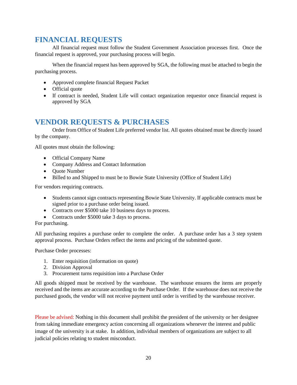## **FINANCIAL REQUESTS**

All financial request must follow the Student Government Association processes first. Once the financial request is approved, your purchasing process will begin.

When the financial request has been approved by SGA, the following must be attached to begin the purchasing process.

- Approved complete financial Request Packet
- Official quote
- If contract is needed, Student Life will contact organization requestor once financial request is approved by SGA

## **VENDOR REQUESTS & PURCHASES**

Order from Office of Student Life preferred vendor list. All quotes obtained must be directly issued by the company.

All quotes must obtain the following:

- Official Company Name
- Company Address and Contact Information
- Quote Number
- Billed to and Shipped to must be to Bowie State University (Office of Student Life)

For vendors requiring contracts.

- Students cannot sign contracts representing Bowie State University. If applicable contracts must be signed prior to a purchase order being issued.
- Contracts over \$5000 take 10 business days to process.
- Contracts under \$5000 take 3 days to process.
- For purchasing.

All purchasing requires a purchase order to complete the order. A purchase order has a 3 step system approval process. Purchase Orders reflect the items and pricing of the submitted quote.

Purchase Order processes:

- 1. Enter requisition (information on quote)
- 2. Division Approval
- 3. Procurement turns requisition into a Purchase Order

All goods shipped must be received by the warehouse. The warehouse ensures the items are properly received and the items are accurate according to the Purchase Order. If the warehouse does not receive the purchased goods, the vendor will not receive payment until order is verified by the warehouse receiver.

Please be advised: Nothing in this document shall prohibit the president of the university or her designee from taking immediate emergency action concerning all organizations whenever the interest and public image of the university is at stake. In addition, individual members of organizations are subject to all judicial policies relating to student misconduct.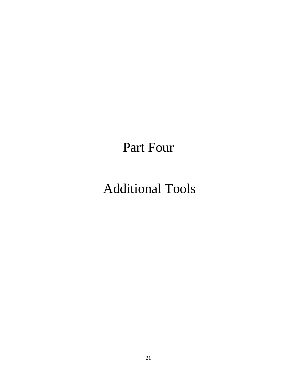Part Four

## Additional Tools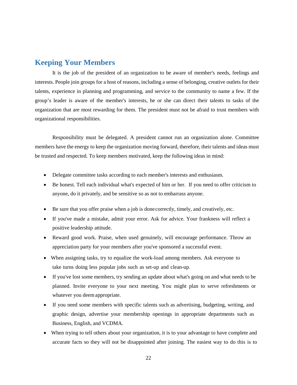#### **Keeping Your Members**

It is the job of the president of an organization to be aware of member's needs, feelings and interests. People join groups for a host of reasons, including a sense of belonging, creative outlets for their talents, experience in planning and programming, and service to the community to name a few. If the group's leader is aware of the member's interests, he or she can direct their talents to tasks of the organization that are most rewarding for them. The president must not be afraid to trust members with organizational responsibilities.

Responsibility must be delegated. A president cannot run an organization alone. Committee members have the energy to keep the organization moving forward, therefore, their talents and ideas must be trusted and respected. To keep members motivated, keep the following ideas in mind:

- Delegate committee tasks according to each member's interests and enthusiasm.
- Be honest. Tell each individual what's expected of him or her. If you need to offer criticism to anyone, do it privately, and be sensitive so as not to embarrass anyone.
- Be sure that you offer praise when a job is done correctly, timely, and creatively, etc.
- If you've made a mistake, admit your error. Ask for advice. Your frankness will reflect a positive leadership attitude.
- Reward good work. Praise, when used genuinely, will encourage performance. Throw an appreciation party for your members after you've sponsored a successful event.
- When assigning tasks, try to equalize the work-load among members. Ask everyone to take turns doing less popular jobs such as set-up and clean-up.
- If you've lost some members, try sending an update about what's going on and what needs to be planned. Invite everyone to your next meeting. You might plan to serve refreshments or whatever you deemappropriate.
- If you need some members with specific talents such as advertising, budgeting, writing, and graphic design, advertise your membership openings in appropriate departments such as Business, English, and VCDMA.
- When trying to tell others about your organization, it is to your advantage to have complete and accurate facts so they will not be disappointed after joining. The easiest way to do this is to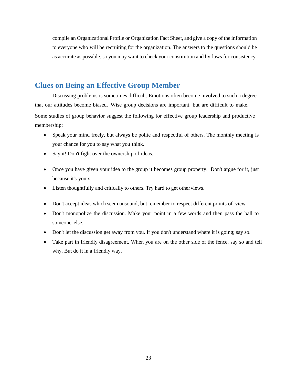compile an Organizational Profile or Organization Fact Sheet, and give a copy of the information to everyone who will be recruiting for the organization. The answers to the questions should be as accurate as possible, so you may want to check your constitution and by-laws for consistency.

#### **Clues on Being an Effective Group Member**

Discussing problems is sometimes difficult. Emotions often become involved to such a degree that our attitudes become biased. Wise group decisions are important, but are difficult to make.

Some studies of group behavior suggest the following for effective group leadership and productive membership:

- Speak your mind freely, but always be polite and respectful of others. The monthly meeting is your chance for you to say what you think.
- Say it! Don't fight over the ownership of ideas.
- Once you have given your idea to the group it becomes group property. Don't argue for it, just because it's yours.
- Listen thoughtfully and critically to others. Try hard to get other views.
- Don't accept ideas which seem unsound, but remember to respect different points of view.
- Don't monopolize the discussion. Make your point in a few words and then pass the ball to someone else.
- Don't let the discussion get away from you. If you don't understand where it is going; say so.
- Take part in friendly disagreement. When you are on the other side of the fence, say so and tell why. But do it in a friendly way.